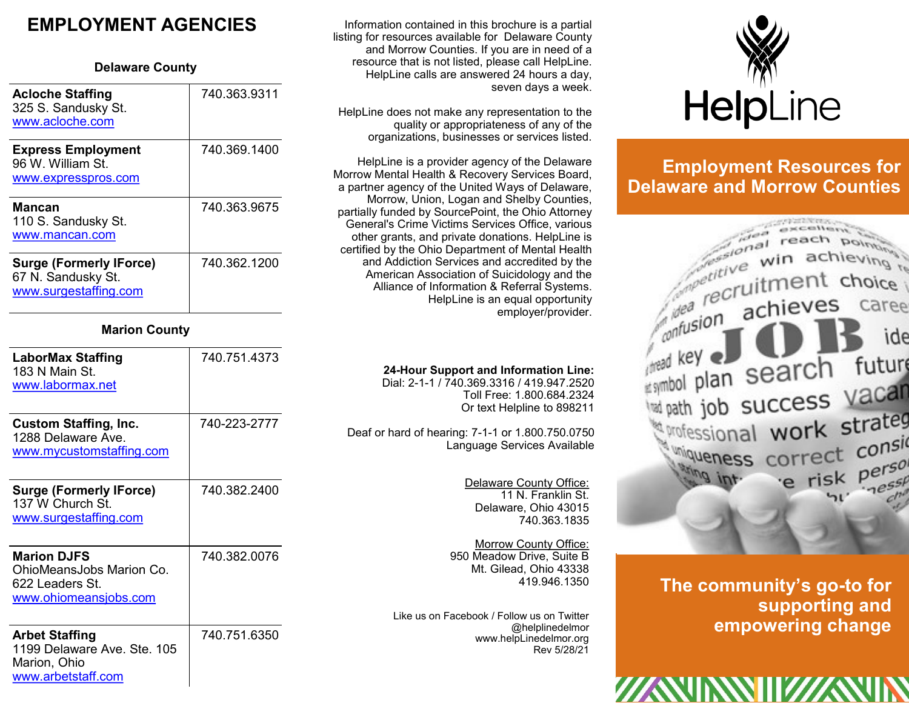# **EMPLOYMENT AGENCIES**

#### **Delaware County**

| <b>Acloche Staffing</b><br>325 S. Sandusky St.<br>www.acloche.com   | 740.363.9311 |
|---------------------------------------------------------------------|--------------|
| <b>Express Employment</b><br>96 W William St<br>www.expresspros.com | 740.369.1400 |
| <b>Mancan</b>                                                       | 740.363.9675 |
| 110 S. Sandusky St.<br>www.mancan.com                               |              |

#### **Marion County**

| LaborMax Staffing<br>183 N Main St.<br>www.labormax.net                                    | 740.751.4373 |
|--------------------------------------------------------------------------------------------|--------------|
| <b>Custom Staffing, Inc.</b><br>1288 Delaware Ave.<br>www.mycustomstaffing.com             | 740-223-2777 |
| <b>Surge (Formerly IForce)</b><br>137 W Church St.<br>www.surgestaffing.com                | 740.382.2400 |
| <b>Marion DJFS</b><br>OhioMeansJobs Marion Co.<br>622 Leaders St.<br>www.ohiomeansjobs.com | 740.382.0076 |
| <b>Arbet Staffing</b><br>1199 Delaware Ave, Ste, 105<br>Marion, Ohio<br>www.arbetstaff.com | 740.751.6350 |

Information contained in this brochure is a partial listing for resources available for Delaware County and Morrow Counties. If you are in need of a resource that is not listed, please call HelpLine. HelpLine calls are answered 24 hours a day, seven days a week.

HelpLine does not make any representation to the quality or appropriateness of any of the organizations, businesses or services listed.

HelpLine is a provider agency of the Delaware Morrow Mental Health & Recovery Services Board, a partner agency of the United Ways of Delaware, Morrow, Union, Logan and Shelby Counties, partially funded by SourcePoint, the Ohio Attorney General's Crime Victims Services Office, various other grants, and private donations. HelpLine is certified by the Ohio Department of Mental Health and Addiction Services and accredited by the American Association of Suicidology and the Alliance of Information & Referral Systems. HelpLine is an equal opportunity employer/provider.

#### **24-Hour Support and Information Line:**

Dial: 2-1-1 / 740.369.3316 / 419.947.2520 Toll Free: 1.800.684.2324 Or text Helpline to 898211

Deaf or hard of hearing: 7-1-1 or 1.800.750.0750 Language Services Available

> Delaware County Office: 11 N. Franklin St. Delaware, Ohio 43015 740.363.1835

Morrow County Office: 950 Meadow Drive, Suite B Mt. Gilead, Ohio 43338 419.946.1350

Like us on Facebook / Follow us on Twitter @helplinedelmor www.helpLinedelmor.org Rev 5/28/21



# **Employment Resources for Delaware and Morrow Counties**



**The community's go-to for supporting and empowering change**